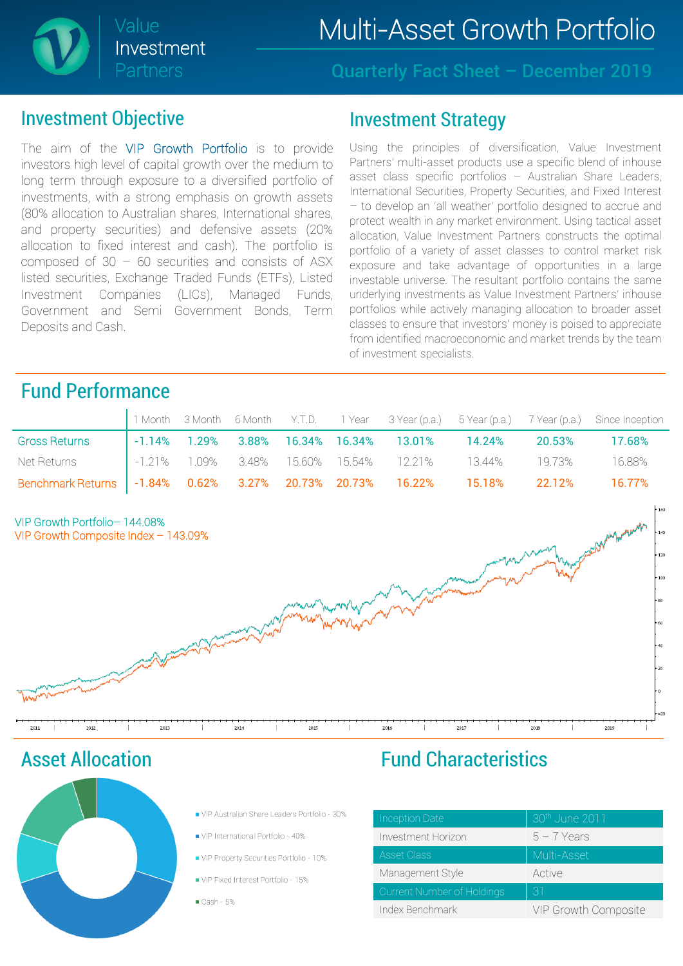## Value **Multi-Asset Growth Portfolio**



Quarterly Fact Sheet – December 2019

#### Investment Objective

The aim of the VIP Growth Portfolio is to provide investors high level of capital growth over the medium to long term through exposure to a diversified portfolio of investments, with a strong emphasis on growth assets (80% allocation to Australian shares, International shares, and property securities) and defensive assets (20% allocation to fixed interest and cash). The portfolio is composed of  $30 - 60$  securities and consists of ASX listed securities, Exchange Traded Funds (ETFs), Listed Investment Companies (LICs), Managed Funds, Government and Semi Government Bonds, Term Deposits and Cash.

#### Investment Strategy

Using the principles of diversification, Value Investment Partners' multi-asset products use a specific blend of inhouse asset class specific portfolios – Australian Share Leaders, International Securities, Property Securities, and Fixed Interest – to develop an 'all weather' portfolio designed to accrue and protect wealth in any market environment. Using tactical asset allocation, Value Investment Partners constructs the optimal portfolio of a variety of asset classes to control market risk exposure and take advantage of opportunities in a large investable universe. The resultant portfolio contains the same underlying investments as Value Investment Partners' inhouse portfolios while actively managing allocation to broader asset classes to ensure that investors' money is poised to appreciate from identified macroeconomic and market trends by the team of investment specialists.

### Fund Performance

|                                                                           |  |  |  |                                                               |        | 1 Month 3 Month 6 Month Y.T.D. 1 Year 3 Year (p.a.) 5 Year (p.a.) 7 Year (p.a.) Since Inception |
|---------------------------------------------------------------------------|--|--|--|---------------------------------------------------------------|--------|-------------------------------------------------------------------------------------------------|
| <b>Gross Returns</b>                                                      |  |  |  | $\vert$ -1.14% 1.29% 3.88% 16.34% 16.34% 13.01% 14.24%        | 20.53% | 17.68%                                                                                          |
| Net Returns                                                               |  |  |  | $\vert$ -1.21% 1.09% 3.48% 15.60% 15.54% 12.21% 13.44% 19.73% |        | 16.88%                                                                                          |
| Benchmark Returns   -1.84% 0.62% 3.27% 20.73% 20.73% 16.22% 15.18% 22.12% |  |  |  |                                                               |        | 16.77%                                                                                          |



Asset Allocation



- VIP Australian Share Leaders Portfolio 30%
- VIP International Portfolio 40%
- VIP Property Securities Portfolio 10%
- VIP Fixed Interest Portfolio 15%

 $Cash-5%$ 

### Fund Characteristics

| Inception Date             | 30th June 2011       |
|----------------------------|----------------------|
| Investment Horizon         | $5 - 7$ Years        |
| <b>Asset Class</b>         | Multi-Asset          |
| Management Style           | Active               |
| Current Number of Holdings | 31                   |
| Index Benchmark            | VIP Growth Composite |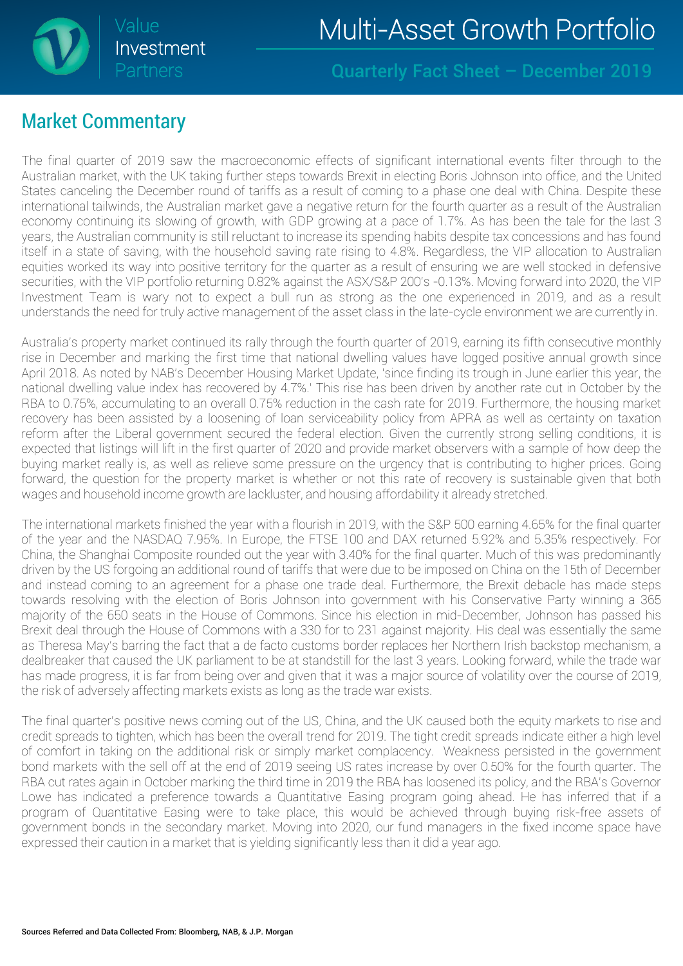

Quarterly Fact Sheet – December 2019

#### Market Commentary

The final quarter of 2019 saw the macroeconomic effects of significant international events filter through to the Australian market, with the UK taking further steps towards Brexit in electing Boris Johnson into office, and the United States canceling the December round of tariffs as a result of coming to a phase one deal with China. Despite these international tailwinds, the Australian market gave a negative return for the fourth quarter as a result of the Australian economy continuing its slowing of growth, with GDP growing at a pace of 1.7%. As has been the tale for the last 3 years, the Australian community is still reluctant to increase its spending habits despite tax concessions and has found itself in a state of saving, with the household saving rate rising to 4.8%. Regardless, the VIP allocation to Australian equities worked its way into positive territory for the quarter as a result of ensuring we are well stocked in defensive securities, with the VIP portfolio returning 0.82% against the ASX/S&P 200's -0.13%. Moving forward into 2020, the VIP Investment Team is wary not to expect a bull run as strong as the one experienced in 2019, and as a result understands the need for truly active management of the asset class in the late-cycle environment we are currently in.

Australia's property market continued its rally through the fourth quarter of 2019, earning its fifth consecutive monthly rise in December and marking the first time that national dwelling values have logged positive annual growth since April 2018. As noted by NAB's December Housing Market Update, 'since finding its trough in June earlier this year, the national dwelling value index has recovered by 4.7%.' This rise has been driven by another rate cut in October by the RBA to 0.75%, accumulating to an overall 0.75% reduction in the cash rate for 2019. Furthermore, the housing market recovery has been assisted by a loosening of loan serviceability policy from APRA as well as certainty on taxation reform after the Liberal government secured the federal election. Given the currently strong selling conditions, it is expected that listings will lift in the first quarter of 2020 and provide market observers with a sample of how deep the buying market really is, as well as relieve some pressure on the urgency that is contributing to higher prices. Going forward, the question for the property market is whether or not this rate of recovery is sustainable given that both wages and household income growth are lackluster, and housing affordability it already stretched.

The international markets finished the year with a flourish in 2019, with the S&P 500 earning 4.65% for the final quarter of the year and the NASDAQ 7.95%. In Europe, the FTSE 100 and DAX returned 5.92% and 5.35% respectively. For China, the Shanghai Composite rounded out the year with 3.40% for the final quarter. Much of this was predominantly driven by the US forgoing an additional round of tariffs that were due to be imposed on China on the 15th of December and instead coming to an agreement for a phase one trade deal. Furthermore, the Brexit debacle has made steps towards resolving with the election of Boris Johnson into government with his Conservative Party winning a 365 majority of the 650 seats in the House of Commons. Since his election in mid-December, Johnson has passed his Brexit deal through the House of Commons with a 330 for to 231 against majority. His deal was essentially the same as Theresa May's barring the fact that a de facto customs border replaces her Northern Irish backstop mechanism, a dealbreaker that caused the UK parliament to be at standstill for the last 3 years. Looking forward, while the trade war has made progress, it is far from being over and given that it was a major source of volatility over the course of 2019, the risk of adversely affecting markets exists as long as the trade war exists.

The final quarter's positive news coming out of the US, China, and the UK caused both the equity markets to rise and credit spreads to tighten, which has been the overall trend for 2019. The tight credit spreads indicate either a high level of comfort in taking on the additional risk or simply market complacency. Weakness persisted in the government bond markets with the sell off at the end of 2019 seeing US rates increase by over 0.50% for the fourth quarter. The RBA cut rates again in October marking the third time in 2019 the RBA has loosened its policy, and the RBA's Governor Lowe has indicated a preference towards a Quantitative Easing program going ahead. He has inferred that if a program of Quantitative Easing were to take place, this would be achieved through buying risk-free assets of government bonds in the secondary market. Moving into 2020, our fund managers in the fixed income space have expressed their caution in a market that is yielding significantly less than it did a year ago.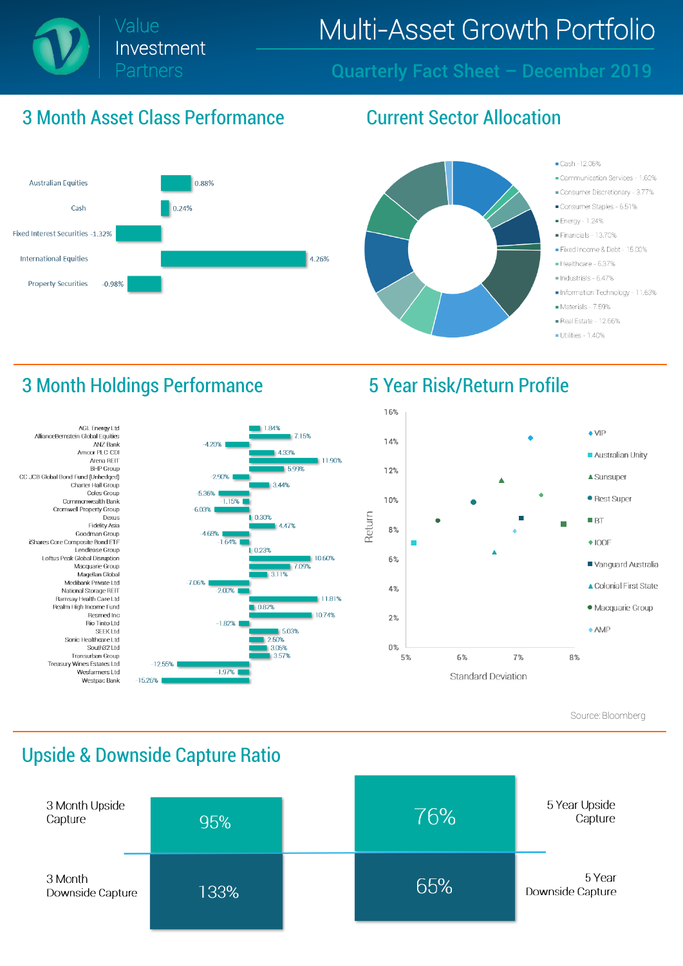

## Value Multi-Asset Growth Portfolio

Quarterly Fact Sheet – December 2019

#### 3 Month Asset Class Performance Current Sector Allocation



1.84%

4.33%

 $3.44%$ 

447%

5.03%

2.50%

3.05%

3.57%

7.09%

0.23%

7.15%

5.99%

11.90%

10.60%

11.81%

10.74%



- Cash-12.06%
- Communication Services 1.60%
- Consumer Discretionary 3.77%
- Consumer Staples 6.51%
- Energy 1.24%
- Financials 13.70%
- Eixed Income & Debt 15.00%
- Healthcare 6.37%
- Industrials 6.47%
- Information Technology 11.63%
- Materials 7.59%
- Real Estate 12.66%
- Utilities 1.40%

#### 3 Month Holdings Performance 5 Year Risk/Return Profile





Source: Bloomberg

#### Upside & Downside Capture Ratio

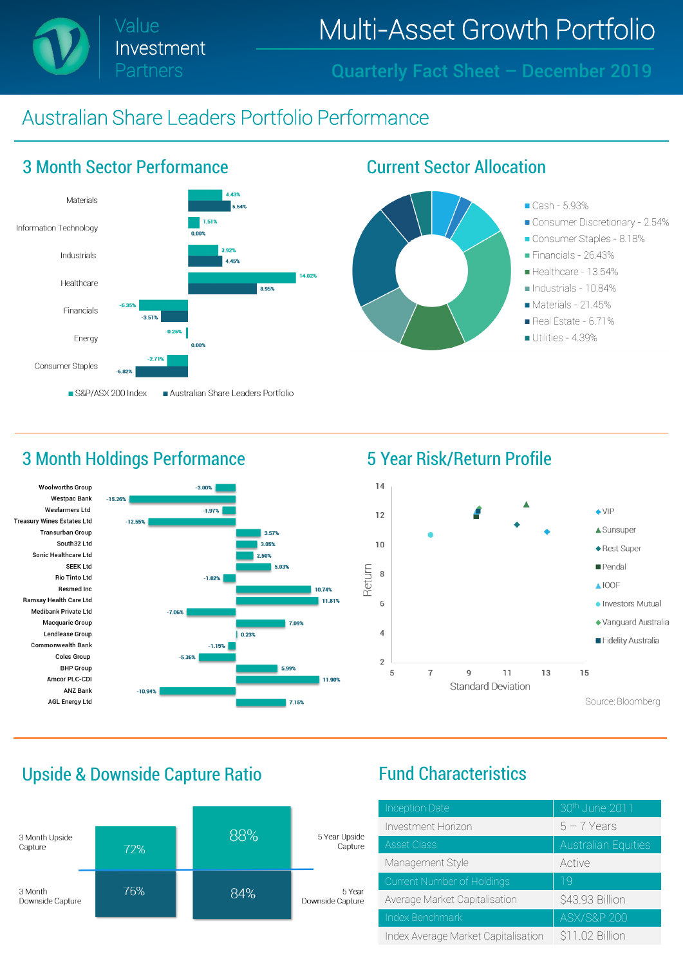Value Investment Partners

Multi-Asset Growth Portfolio

Quarterly Fact Sheet – December 2019

#### Australian Share Leaders Portfolio Performance



#### 3 Month Holdings Performance **5 Year Risk/Return Profile**





#### Upside & Downside Capture Ratio Fund Characteristics



| <b>Inception Date</b>               | 30th June 2011             |
|-------------------------------------|----------------------------|
| Investment Horizon                  | $5 - 7$ Years              |
| <b>Asset Class</b>                  | <b>Australian Equities</b> |
| Management Style                    | Active                     |
| Current Number of Holdings          | 19                         |
| Average Market Capitalisation       | \$43.93 Billion            |
| Index Benchmark                     | <b>ASX/S&amp;P 200</b>     |
| Index Average Market Capitalisation | \$11.02 Billion            |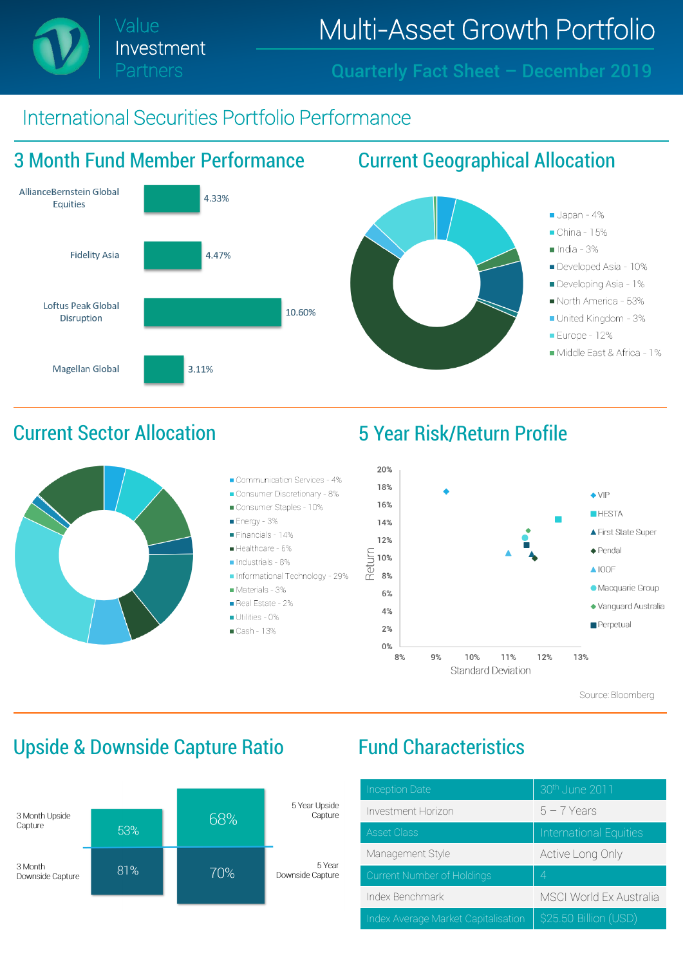# Value **Multi-Asset Growth Portfolio**

Quarterly Fact Sheet – December 2019

### International Securities Portfolio Performance

Investment

Partners





Source: Bloomberg

### Upside & Downside Capture Ratio Fund Characteristics



| <b>Inception Date</b>               | 30th June 2011                 |
|-------------------------------------|--------------------------------|
| Investment Horizon                  | $5 - 7$ Years                  |
| <b>Asset Class</b>                  | International Equities         |
| Management Style                    | Active Long Only               |
| Current Number of Holdings          | 4                              |
| Index Benchmark                     | <b>MSCI World Ex Australia</b> |
| Index Average Market Capitalisation | \$25.50 Billion (USD)          |

### Current Sector Allocation 5 Year Risk/Return Profile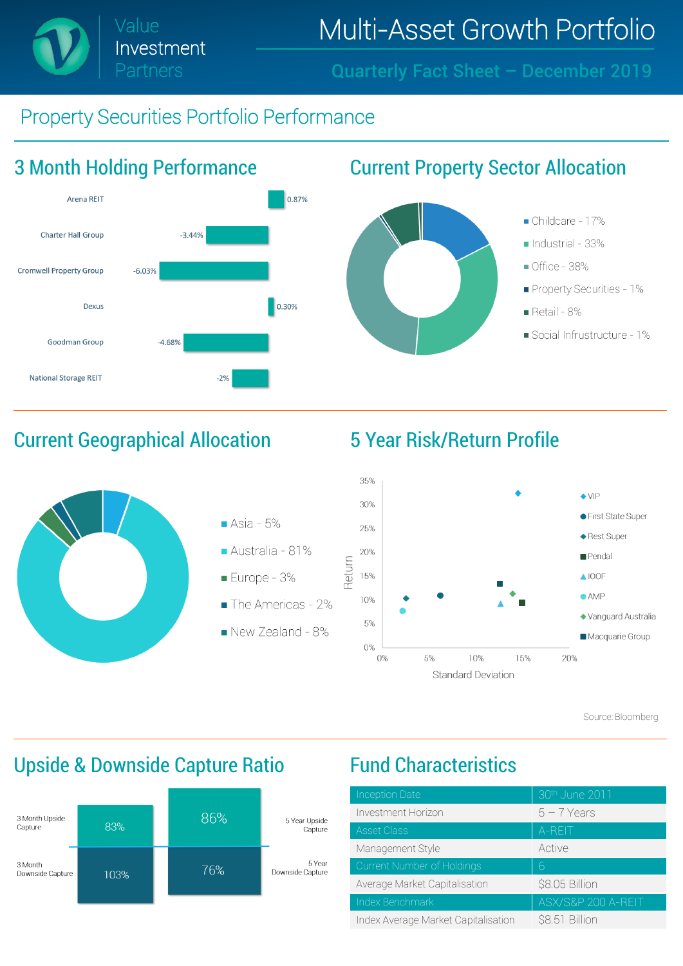Investment Partners

## Value **Multi-Asset Growth Portfolio**

Quarterly Fact Sheet – December 2019

### Property Securities Portfolio Performance



### Current Geographical Allocation 5 Year Risk/Return Profile





Source: Bloomberg

## Upside & Downside Capture Ratio Fund Characteristics



| <b>Inception Date</b>               | 30th June 2011     |
|-------------------------------------|--------------------|
|                                     |                    |
| Investment Horizon                  | $5 - 7$ Years      |
| <b>Asset Class</b>                  | A-REIT             |
| Management Style                    | Active             |
| Current Number of Holdings          | 6                  |
| Average Market Capitalisation       | \$8.05 Billion     |
| Index Benchmark                     | ASX/S&P 200 A-REIT |
| Index Average Market Capitalisation | \$8.51 Billion     |